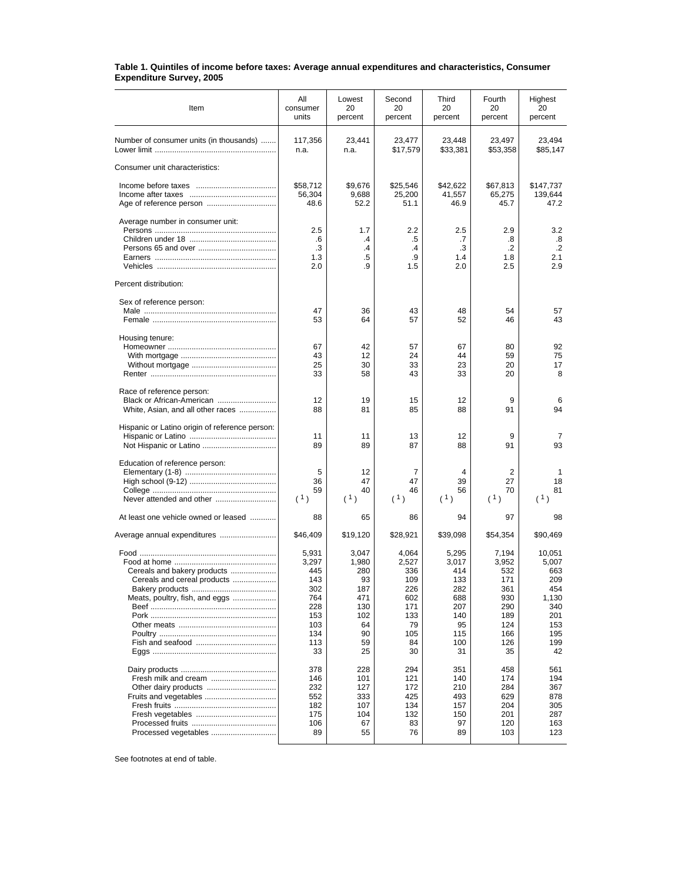## **Table 1. Quintiles of income before taxes: Average annual expenditures and characteristics, Consumer Expenditure Survey, 2005**

| Item                                                           | All<br>consumer<br>units | Lowest<br>20<br>percent | Second<br>20<br>percent | Third<br>20<br>percent | Fourth<br>20<br>percent | Highest<br>20<br>percent |
|----------------------------------------------------------------|--------------------------|-------------------------|-------------------------|------------------------|-------------------------|--------------------------|
| Number of consumer units (in thousands)                        | 117,356<br>n.a.          | 23,441<br>n.a.          | 23,477<br>\$17,579      | 23,448<br>\$33,381     | 23,497<br>\$53,358      | 23,494<br>\$85,147       |
| Consumer unit characteristics:                                 |                          |                         |                         |                        |                         |                          |
|                                                                | \$58,712<br>56,304       | \$9,676<br>9,688        | \$25,546<br>25,200      | \$42,622<br>41,557     | \$67,813<br>65,275      | \$147,737<br>139,644     |
|                                                                | 48.6                     | 52.2                    | 51.1                    | 46.9                   | 45.7                    | 47.2                     |
| Average number in consumer unit:                               | 2.5<br>.6                | 1.7<br>.4               | 2.2<br>.5               | 2.5<br>.7              | 2.9<br>.8               | 3.2<br>.8                |
|                                                                | .3                       | .4                      | $\cdot$                 | .3                     | $\cdot$                 | $\cdot$                  |
|                                                                | 1.3                      | .5                      | .9                      | 1.4                    | 1.8                     | 2.1                      |
|                                                                | 2.0                      | .9                      | 1.5                     | 2.0                    | 2.5                     | 2.9                      |
| Percent distribution:                                          |                          |                         |                         |                        |                         |                          |
| Sex of reference person:                                       |                          |                         |                         |                        |                         |                          |
|                                                                | 47<br>53                 | 36<br>64                | 43<br>57                | 48<br>52               | 54<br>46                | 57<br>43                 |
|                                                                |                          |                         |                         |                        |                         |                          |
| Housing tenure:                                                | 67                       | 42                      | 57                      | 67                     | 80                      | 92                       |
|                                                                | 43                       | 12                      | 24                      | 44                     | 59                      | 75                       |
|                                                                | 25<br>33                 | 30<br>58                | 33<br>43                | 23<br>33               | 20<br>20                | 17<br>8                  |
|                                                                |                          |                         |                         |                        |                         |                          |
| Race of reference person:                                      |                          |                         |                         |                        |                         |                          |
| Black or African-American<br>White, Asian, and all other races | 12<br>88                 | 19<br>81                | 15<br>85                | 12<br>88               | 9<br>91                 | 6<br>94                  |
| Hispanic or Latino origin of reference person:                 |                          |                         |                         |                        |                         |                          |
|                                                                | 11                       | 11                      | 13                      | 12                     | 9                       | 7                        |
|                                                                | 89                       | 89                      | 87                      | 88                     | 91                      | 93                       |
| Education of reference person:                                 |                          |                         |                         |                        |                         |                          |
|                                                                | 5<br>36                  | 12<br>47                | 7<br>47                 | 4<br>39                | 2<br>27                 | 1<br>18                  |
|                                                                | 59                       | 40                      | 46                      | 56                     | 70                      | 81                       |
| Never attended and other                                       | (1)                      | (1)                     | (1)                     | (1)                    | (1)                     | (1)                      |
| At least one vehicle owned or leased                           | 88                       | 65                      | 86                      | 94                     | 97                      | 98                       |
| Average annual expenditures                                    | \$46,409                 | \$19,120                | \$28,921                | \$39,098               | \$54,354                | \$90,469                 |
|                                                                | 5,931                    | 3,047                   | 4,064                   | 5,295                  | 7,194                   | 10,051                   |
|                                                                | 3,297                    | 1,980                   | 2,527                   | 3,017                  | 3,952                   | 5,007                    |
| Cereals and bakery products                                    | 445                      | 280                     | 336                     | 414                    | 532                     | 663                      |
| Cereals and cereal products                                    | 143<br>302               | 93<br>187               | 109<br>226              | 133<br>282             | 171<br>361              | 209<br>454               |
| Meats, poultry, fish, and eggs                                 | 764                      | 471                     | 602                     | 688                    | 930                     | 1,130                    |
|                                                                | 228                      | 130                     | 171                     | 207                    | 290                     | 340                      |
|                                                                | 153                      | 102                     | 133<br>79               | 140                    | 189                     | 201                      |
|                                                                | 103<br>134               | 64<br>90                | 105                     | 95<br>115              | 124<br>166              | 153<br>195               |
|                                                                | 113                      | 59                      | 84                      | 100                    | 126                     | 199                      |
|                                                                | 33                       | 25                      | 30                      | 31                     | 35                      | 42                       |
|                                                                | 378                      | 228                     | 294                     | 351                    | 458                     | 561                      |
| Fresh milk and cream                                           | 146                      | 101                     | 121                     | 140                    | 174                     | 194                      |
| Other dairy products<br>Fruits and vegetables                  | 232<br>552               | 127<br>333              | 172<br>425              | 210<br>493             | 284<br>629              | 367<br>878               |
|                                                                | 182                      | 107                     | 134                     | 157                    | 204                     | 305                      |
|                                                                | 175                      | 104                     | 132                     | 150                    | 201                     | 287                      |
|                                                                | 106                      | 67                      | 83                      | 97                     | 120                     | 163                      |
| Processed vegetables                                           | 89                       | 55                      | 76                      | 89                     | 103                     | 123                      |

See footnotes at end of table.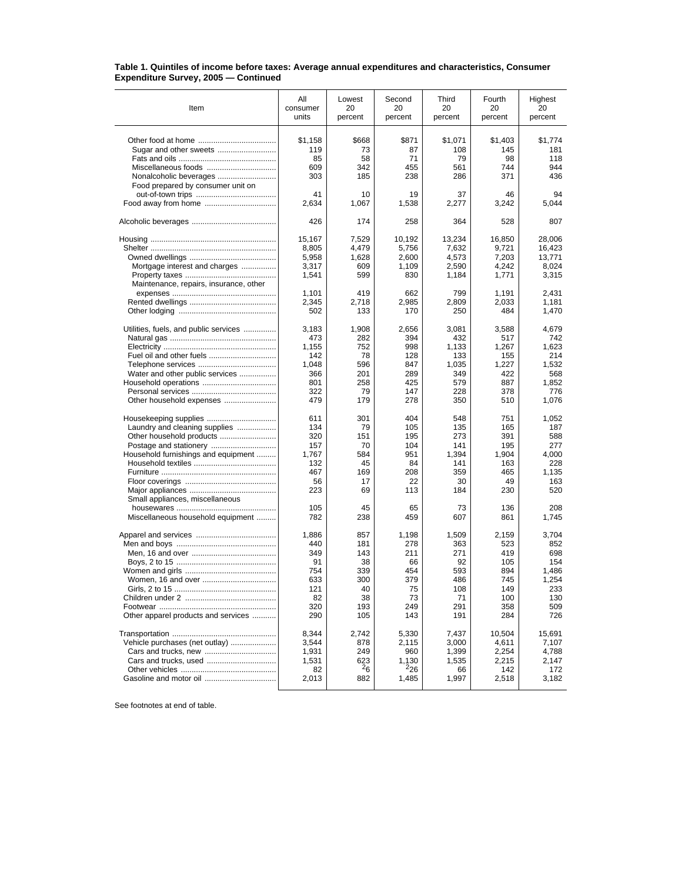## **Table 1. Quintiles of income before taxes: Average annual expenditures and characteristics, Consumer Expenditure Survey, 2005 — Continued**

| Item                                                                                                                                | All                                                          | Lowest                                                 | Second                                                    | Third                                                        | Fourth                                                       | Highest                                                           |
|-------------------------------------------------------------------------------------------------------------------------------------|--------------------------------------------------------------|--------------------------------------------------------|-----------------------------------------------------------|--------------------------------------------------------------|--------------------------------------------------------------|-------------------------------------------------------------------|
|                                                                                                                                     | consumer                                                     | 20                                                     | 20                                                        | 20                                                           | 20                                                           | 20                                                                |
|                                                                                                                                     | units                                                        | percent                                                | percent                                                   | percent                                                      | percent                                                      | percent                                                           |
| Miscellaneous foods<br>Nonalcoholic beverages<br>Food prepared by consumer unit on                                                  | \$1,158<br>119<br>85<br>609<br>303                           | \$668<br>73<br>58<br>342<br>185                        | \$871<br>87<br>71<br>455<br>238                           | \$1,071<br>108<br>79<br>561<br>286                           | \$1,403<br>145<br>98<br>744<br>371                           | \$1,774<br>181<br>118<br>944<br>436                               |
|                                                                                                                                     | 41                                                           | 10                                                     | 19                                                        | 37                                                           | 46                                                           | 94                                                                |
|                                                                                                                                     | 2,634                                                        | 1,067                                                  | 1,538                                                     | 2,277                                                        | 3,242                                                        | 5,044                                                             |
|                                                                                                                                     | 426                                                          | 174                                                    | 258                                                       | 364                                                          | 528                                                          | 807                                                               |
|                                                                                                                                     | 15,167                                                       | 7,529                                                  | 10,192                                                    | 13,234                                                       | 16,850                                                       | 28,006                                                            |
|                                                                                                                                     | 8,805                                                        | 4,479                                                  | 5,756                                                     | 7,632                                                        | 9,721                                                        | 16,423                                                            |
|                                                                                                                                     | 5,958                                                        | 1,628                                                  | 2,600                                                     | 4,573                                                        | 7,203                                                        | 13,771                                                            |
| Mortgage interest and charges                                                                                                       | 3,317                                                        | 609                                                    | 1,109                                                     | 2,590                                                        | 4,242                                                        | 8,024                                                             |
|                                                                                                                                     | 1,541                                                        | 599                                                    | 830                                                       | 1,184                                                        | 1,771                                                        | 3,315                                                             |
| Maintenance, repairs, insurance, other                                                                                              | 1,101<br>2,345<br>502                                        | 419<br>2,718<br>133                                    | 662<br>2,985<br>170                                       | 799<br>2,809<br>250                                          | 1,191<br>2,033<br>484                                        | 2,431<br>1,181<br>1,470                                           |
| Utilities, fuels, and public services                                                                                               | 3,183                                                        | 1,908                                                  | 2,656                                                     | 3,081                                                        | 3,588                                                        | 4,679                                                             |
|                                                                                                                                     | 473                                                          | 282                                                    | 394                                                       | 432                                                          | 517                                                          | 742                                                               |
|                                                                                                                                     | 1,155                                                        | 752                                                    | 998                                                       | 1,133                                                        | 1,267                                                        | 1,623                                                             |
|                                                                                                                                     | 142                                                          | 78                                                     | 128                                                       | 133                                                          | 155                                                          | 214                                                               |
|                                                                                                                                     | 1,048                                                        | 596                                                    | 847                                                       | 1,035                                                        | 1,227                                                        | 1,532                                                             |
| Water and other public services                                                                                                     | 366                                                          | 201                                                    | 289                                                       | 349                                                          | 422                                                          | 568                                                               |
|                                                                                                                                     | 801                                                          | 258                                                    | 425                                                       | 579                                                          | 887                                                          | 1,852                                                             |
|                                                                                                                                     | 322                                                          | 79                                                     | 147                                                       | 228                                                          | 378                                                          | 776                                                               |
| Other household expenses                                                                                                            | 479                                                          | 179                                                    | 278                                                       | 350                                                          | 510                                                          | 1,076                                                             |
| Laundry and cleaning supplies<br>Other household products<br>Household furnishings and equipment<br>Small appliances, miscellaneous | 611<br>134<br>320<br>157<br>1,767<br>132<br>467<br>56<br>223 | 301<br>79<br>151<br>70<br>584<br>45<br>169<br>17<br>69 | 404<br>105<br>195<br>104<br>951<br>84<br>208<br>22<br>113 | 548<br>135<br>273<br>141<br>1,394<br>141<br>359<br>30<br>184 | 751<br>165<br>391<br>195<br>1,904<br>163<br>465<br>49<br>230 | 1,052<br>187<br>588<br>277<br>4,000<br>228<br>1,135<br>163<br>520 |
|                                                                                                                                     | 105                                                          | 45                                                     | 65                                                        | 73                                                           | 136                                                          | 208                                                               |
| Miscellaneous household equipment                                                                                                   | 782                                                          | 238                                                    | 459                                                       | 607                                                          | 861                                                          | 1,745                                                             |
|                                                                                                                                     | 1.886                                                        | 857                                                    | 1,198                                                     | 1.509                                                        | 2.159                                                        | 3.704                                                             |
|                                                                                                                                     | 440                                                          | 181                                                    | 278                                                       | 363                                                          | 523                                                          | 852                                                               |
|                                                                                                                                     | 349                                                          | 143                                                    | 211                                                       | 271                                                          | 419                                                          | 698                                                               |
|                                                                                                                                     | 91                                                           | 38                                                     | 66                                                        | 92                                                           | 105                                                          | 154                                                               |
|                                                                                                                                     | 754                                                          | 339                                                    | 454                                                       | 593                                                          | 894                                                          | 1,486                                                             |
|                                                                                                                                     | 633                                                          | 300                                                    | 379                                                       | 486                                                          | 745                                                          | 1,254                                                             |
|                                                                                                                                     | 121                                                          | 40                                                     | $\sqrt{5}$                                                | 108                                                          | 149                                                          | 233                                                               |
|                                                                                                                                     | 82                                                           | 38                                                     | 73                                                        | 71                                                           | 100                                                          | 130                                                               |
|                                                                                                                                     | 320                                                          | 193                                                    | 249                                                       | 291                                                          | 358                                                          | 509                                                               |
| Other apparel products and services                                                                                                 | 290                                                          | 105                                                    | 143                                                       | 191                                                          | 284                                                          | 726                                                               |
|                                                                                                                                     | 8,344                                                        | 2,742                                                  | 5,330                                                     | 7,437                                                        | 10,504                                                       | 15,691                                                            |
| Vehicle purchases (net outlay)                                                                                                      | 3,544                                                        | 878                                                    | 2,115                                                     | 3,000                                                        | 4,611                                                        | 7,107                                                             |
|                                                                                                                                     | 1,931                                                        | 249                                                    | 960                                                       | 1,399                                                        | 2,254                                                        | 4,788                                                             |
|                                                                                                                                     | 1,531                                                        | 623                                                    | 1,130                                                     | 1,535                                                        | 2,215                                                        | 2,147                                                             |
|                                                                                                                                     | 82                                                           | $^{2}6$                                                | 226                                                       | 66                                                           | 142                                                          | 172                                                               |
|                                                                                                                                     | 2,013                                                        | 882                                                    | 1,485                                                     | 1,997                                                        | 2,518                                                        | 3,182                                                             |

See footnotes at end of table.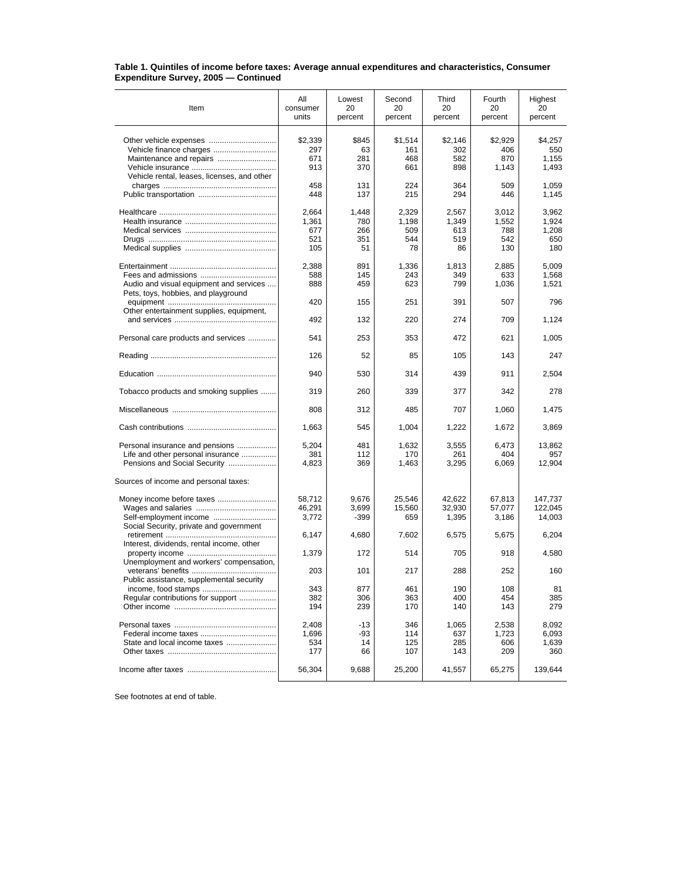## **Table 1. Quintiles of income before taxes: Average annual expenditures and characteristics, Consumer Expenditure Survey, 2005 — Continued**

| Item                                                                                                       | All<br>consumer<br>units            | Lowest<br>20<br>percent          | Second<br>20<br>percent            | Third<br>20<br>percent             | Fourth<br>20<br>percent             | Highest<br>20<br>percent              |
|------------------------------------------------------------------------------------------------------------|-------------------------------------|----------------------------------|------------------------------------|------------------------------------|-------------------------------------|---------------------------------------|
|                                                                                                            | \$2,339<br>297<br>671<br>913        | \$845<br>63<br>281<br>370        | \$1,514<br>161<br>468<br>661       | \$2,146<br>302<br>582<br>898       | \$2,929<br>406<br>870<br>1,143      | \$4,257<br>550<br>1,155<br>1,493      |
| Vehicle rental, leases, licenses, and other                                                                | 458<br>448                          | 131<br>137                       | 224<br>215                         | 364<br>294                         | 509<br>446                          | 1,059<br>1,145                        |
|                                                                                                            | 2,664<br>1.361<br>677<br>521<br>105 | 1,448<br>780<br>266<br>351<br>51 | 2,329<br>1.198<br>509<br>544<br>78 | 2,567<br>1,349<br>613<br>519<br>86 | 3,012<br>1,552<br>788<br>542<br>130 | 3,962<br>1,924<br>1,208<br>650<br>180 |
| Audio and visual equipment and services<br>Pets, toys, hobbies, and playground                             | 2,388<br>588<br>888                 | 891<br>145<br>459                | 1,336<br>243<br>623                | 1,813<br>349<br>799                | 2,885<br>633<br>1,036               | 5,009<br>1,568<br>1,521               |
| Other entertainment supplies, equipment,                                                                   | 420                                 | 155                              | 251                                | 391                                | 507                                 | 796                                   |
|                                                                                                            | 492                                 | 132                              | 220                                | 274                                | 709                                 | 1,124                                 |
| Personal care products and services                                                                        | 541                                 | 253                              | 353                                | 472                                | 621                                 | 1,005                                 |
|                                                                                                            | 126                                 | 52                               | 85                                 | 105                                | 143                                 | 247                                   |
|                                                                                                            | 940                                 | 530                              | 314                                | 439                                | 911                                 | 2,504                                 |
| Tobacco products and smoking supplies                                                                      | 319                                 | 260                              | 339                                | 377                                | 342                                 | 278                                   |
|                                                                                                            | 808                                 | 312                              | 485                                | 707                                | 1,060                               | 1,475                                 |
|                                                                                                            | 1,663                               | 545                              | 1,004                              | 1,222                              | 1,672                               | 3,869                                 |
| Personal insurance and pensions<br>Life and other personal insurance<br>Pensions and Social Security       | 5,204<br>381<br>4,823               | 481<br>112<br>369                | 1,632<br>170<br>1,463              | 3,555<br>261<br>3,295              | 6,473<br>404<br>6,069               | 13,862<br>957<br>12,904               |
| Sources of income and personal taxes:<br>Self-employment income<br>Social Security, private and government | 58,712<br>46,291<br>3,772           | 9,676<br>3,699<br>-399           | 25,546<br>15,560<br>659            | 42,622<br>32,930<br>1,395          | 67,813<br>57,077<br>3,186           | 147,737<br>122,045<br>14,003          |
| Interest, dividends, rental income, other                                                                  | 6.147                               | 4,680                            | 7,602                              | 6,575                              | 5,675                               | 6,204                                 |
| Unemployment and workers' compensation,                                                                    | 1,379                               | 172                              | 514                                | 705                                | 918                                 | 4,580                                 |
| Public assistance, supplemental security                                                                   | 203                                 | 101                              | 217                                | 288                                | 252                                 | 160                                   |
| $income, food stamps \dots \dots \dots \dots \dots \dots \dots \dots$<br>Regular contributions for support | 343<br>382<br>194                   | 877<br>306<br>239                | 461<br>363<br>170                  | 190<br>400<br>140                  | 108<br>454<br>143                   | 81<br>385<br>279                      |
| State and local income taxes                                                                               | 2,408<br>1,696<br>534<br>177        | -13<br>-93<br>14<br>66           | 346<br>114<br>125<br>107           | 1,065<br>637<br>285<br>143         | 2,538<br>1,723<br>606<br>209        | 8,092<br>6,093<br>1,639<br>360        |
|                                                                                                            | 56,304                              | 9,688                            | 25,200                             | 41,557                             | 65,275                              | 139,644                               |

See footnotes at end of table.